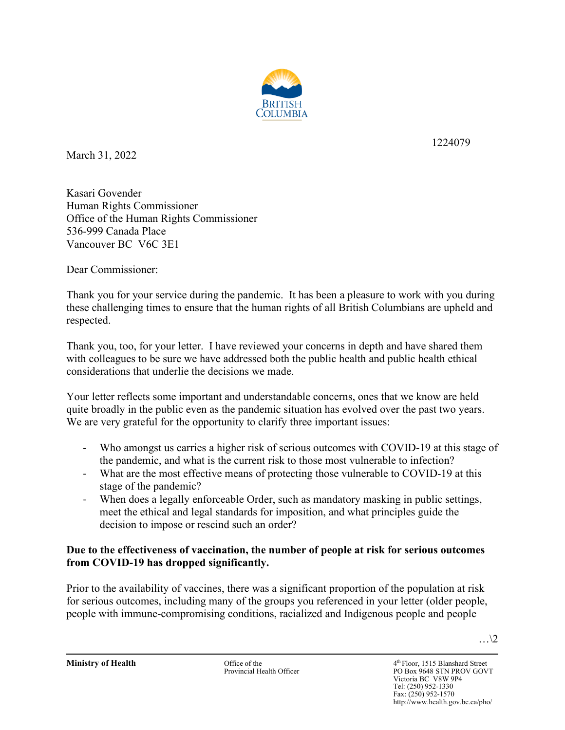

March 31, 2022

1224079

Kasari Govender Human Rights Commissioner Office of the Human Rights Commissioner 536-999 Canada Place Vancouver BC V6C 3E1

Dear Commissioner:

Thank you for your service during the pandemic. It has been a pleasure to work with you during these challenging times to ensure that the human rights of all British Columbians are upheld and respected.

Thank you, too, for your letter. I have reviewed your concerns in depth and have shared them with colleagues to be sure we have addressed both the public health and public health ethical considerations that underlie the decisions we made.

Your letter reflects some important and understandable concerns, ones that we know are held quite broadly in the public even as the pandemic situation has evolved over the past two years. We are very grateful for the opportunity to clarify three important issues:

- Who amongst us carries a higher risk of serious outcomes with COVID-19 at this stage of the pandemic, and what is the current risk to those most vulnerable to infection?
- What are the most effective means of protecting those vulnerable to COVID-19 at this stage of the pandemic?
- When does a legally enforceable Order, such as mandatory masking in public settings, meet the ethical and legal standards for imposition, and what principles guide the decision to impose or rescind such an order?

# **Due to the effectiveness of vaccination, the number of people at risk for serious outcomes from COVID-19 has dropped significantly.**

Prior to the availability of vaccines, there was a significant proportion of the population at risk for serious outcomes, including many of the groups you referenced in your letter (older people, people with immune-compromising conditions, racialized and Indigenous people and people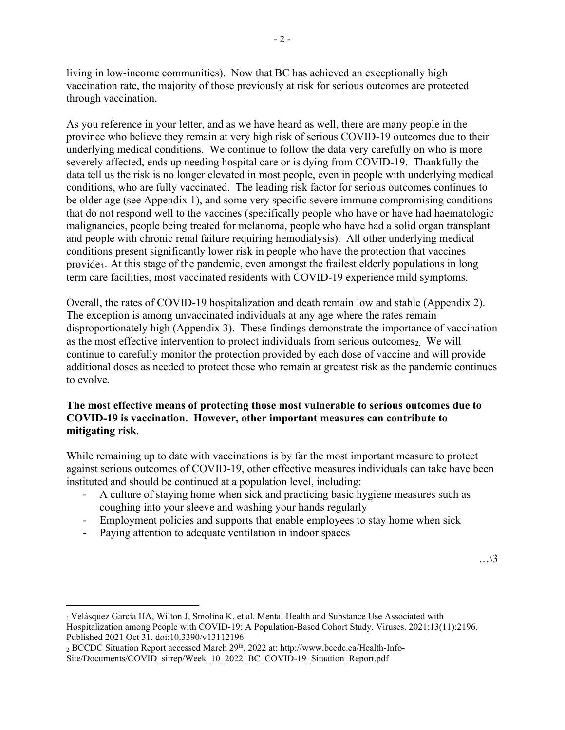living in low-income communities). Now that BC has achieved an exceptionally high vaccination rate, the majority of those previously at risk for serious outcomes are protected through vaccination.

As you reference in your letter, and as we have heard as well, there are many people in the province who believe they remain at very high risk of serious COVID-19 outcomes due to their underlying medical conditions. We continue to follow the data very carefully on who is more severely affected, ends up needing hospital care or is dying from COVID-19. Thankfully the data tell us the risk is no longer elevated in most people, even in people with underlying medical conditions, who are fully vaccinated. The leading risk factor for serious outcomes continues to be older age (see Appendix 1), and some very specific severe immune compromising conditions that do not respond well to the vaccines (specifically people who have or have had haematologic malignancies, people being treated for melanoma, people who have had a solid organ transplant and people with chronic renal failure requiring hemodialysis). All other underlying medical conditions present significantly lower risk in people who have the protection that vaccines provide<sub>[1](#page-1-0)</sub>. At this stage of the pandemic, even amongst the frailest elderly populations in long term care facilities, most vaccinated residents with COVID-19 experience mild symptoms.

Overall, the rates of COVID-19 hospitalization and death remain low and stable (Appendix 2). The exception is among unvaccinated individuals at any age where the rates remain disproportionately high (Appendix 3). These findings demonstrate the importance of vaccination as the most effective intervention to protect individuals from serious outcomes<sub>[2.](#page-1-1)</sub> We will continue to carefully monitor the protection provided by each dose of vaccine and will provide additional doses as needed to protect those who remain at greatest risk as the pandemic continues to evolve.

## **The most effective means of protecting those most vulnerable to serious outcomes due to COVID-19 is vaccination. However, other important measures can contribute to mitigating risk**.

While remaining up to date with vaccinations is by far the most important measure to protect against serious outcomes of COVID-19, other effective measures individuals can take have been instituted and should be continued at a population level, including:

- A culture of staying home when sick and practicing basic hygiene measures such as coughing into your sleeve and washing your hands regularly
- Employment policies and supports that enable employees to stay home when sick
- Paying attention to adequate ventilation in indoor spaces

<span id="page-1-1"></span><span id="page-1-0"></span><sup>2</sup> BCCDC Situation Report accessed March 29th, 2022 at: http://www.bccdc.ca/Health-Info-Site/Documents/COVID\_sitrep/Week\_10\_2022\_BC\_COVID-19\_Situation\_Report.pdf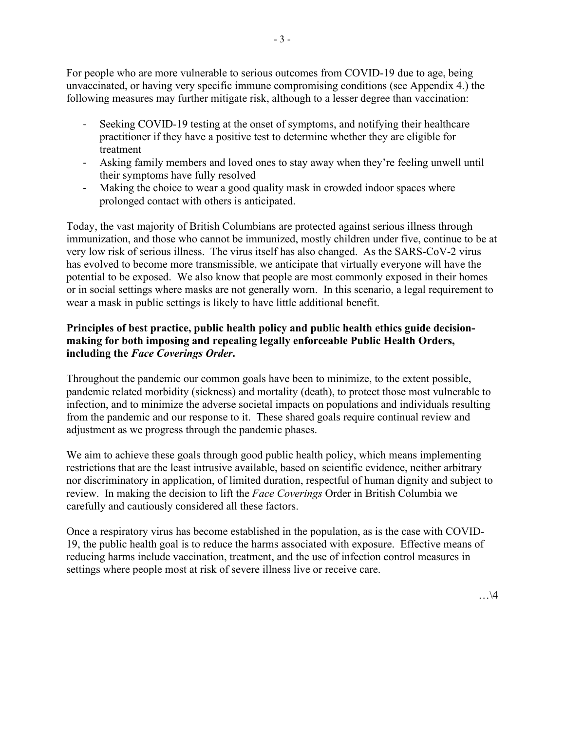For people who are more vulnerable to serious outcomes from COVID-19 due to age, being unvaccinated, or having very specific immune compromising conditions (see Appendix 4.) the following measures may further mitigate risk, although to a lesser degree than vaccination:

- Seeking COVID-19 testing at the onset of symptoms, and notifying their healthcare practitioner if they have a positive test to determine whether they are eligible for treatment
- Asking family members and loved ones to stay away when they're feeling unwell until their symptoms have fully resolved
- Making the choice to wear a good quality mask in crowded indoor spaces where prolonged contact with others is anticipated.

Today, the vast majority of British Columbians are protected against serious illness through immunization, and those who cannot be immunized, mostly children under five, continue to be at very low risk of serious illness. The virus itself has also changed. As the SARS-CoV-2 virus has evolved to become more transmissible, we anticipate that virtually everyone will have the potential to be exposed. We also know that people are most commonly exposed in their homes or in social settings where masks are not generally worn. In this scenario, a legal requirement to wear a mask in public settings is likely to have little additional benefit.

# **Principles of best practice, public health policy and public health ethics guide decisionmaking for both imposing and repealing legally enforceable Public Health Orders, including the** *Face Coverings Order***.**

Throughout the pandemic our common goals have been to minimize, to the extent possible, pandemic related morbidity (sickness) and mortality (death), to protect those most vulnerable to infection, and to minimize the adverse societal impacts on populations and individuals resulting from the pandemic and our response to it. These shared goals require continual review and adjustment as we progress through the pandemic phases.

We aim to achieve these goals through good public health policy, which means implementing restrictions that are the least intrusive available, based on scientific evidence, neither arbitrary nor discriminatory in application, of limited duration, respectful of human dignity and subject to review. In making the decision to lift the *Face Coverings* Order in British Columbia we carefully and cautiously considered all these factors.

Once a respiratory virus has become established in the population, as is the case with COVID-19, the public health goal is to reduce the harms associated with exposure. Effective means of reducing harms include vaccination, treatment, and the use of infection control measures in settings where people most at risk of severe illness live or receive care.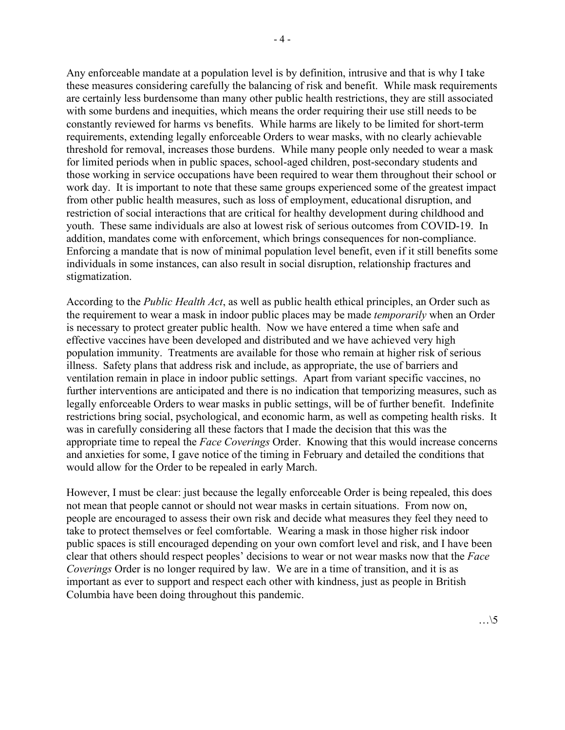Any enforceable mandate at a population level is by definition, intrusive and that is why I take these measures considering carefully the balancing of risk and benefit. While mask requirements are certainly less burdensome than many other public health restrictions, they are still associated with some burdens and inequities, which means the order requiring their use still needs to be constantly reviewed for harms vs benefits. While harms are likely to be limited for short-term requirements, extending legally enforceable Orders to wear masks, with no clearly achievable threshold for removal, increases those burdens. While many people only needed to wear a mask for limited periods when in public spaces, school-aged children, post-secondary students and those working in service occupations have been required to wear them throughout their school or work day. It is important to note that these same groups experienced some of the greatest impact from other public health measures, such as loss of employment, educational disruption, and restriction of social interactions that are critical for healthy development during childhood and youth. These same individuals are also at lowest risk of serious outcomes from COVID-19. In addition, mandates come with enforcement, which brings consequences for non-compliance. Enforcing a mandate that is now of minimal population level benefit, even if it still benefits some individuals in some instances, can also result in social disruption, relationship fractures and stigmatization.

According to the *Public Health Act*, as well as public health ethical principles, an Order such as the requirement to wear a mask in indoor public places may be made *temporarily* when an Order is necessary to protect greater public health. Now we have entered a time when safe and effective vaccines have been developed and distributed and we have achieved very high population immunity. Treatments are available for those who remain at higher risk of serious illness. Safety plans that address risk and include, as appropriate, the use of barriers and ventilation remain in place in indoor public settings. Apart from variant specific vaccines, no further interventions are anticipated and there is no indication that temporizing measures, such as legally enforceable Orders to wear masks in public settings, will be of further benefit. Indefinite restrictions bring social, psychological, and economic harm, as well as competing health risks. It was in carefully considering all these factors that I made the decision that this was the appropriate time to repeal the *Face Coverings* Order. Knowing that this would increase concerns and anxieties for some, I gave notice of the timing in February and detailed the conditions that would allow for the Order to be repealed in early March.

However, I must be clear: just because the legally enforceable Order is being repealed, this does not mean that people cannot or should not wear masks in certain situations. From now on, people are encouraged to assess their own risk and decide what measures they feel they need to take to protect themselves or feel comfortable. Wearing a mask in those higher risk indoor public spaces is still encouraged depending on your own comfort level and risk, and I have been clear that others should respect peoples' decisions to wear or not wear masks now that the *Face Coverings* Order is no longer required by law. We are in a time of transition, and it is as important as ever to support and respect each other with kindness, just as people in British Columbia have been doing throughout this pandemic.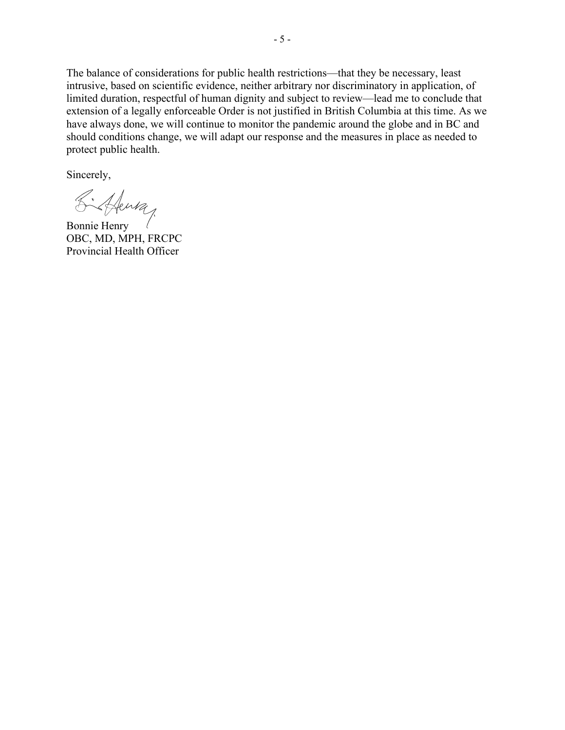The balance of considerations for public health restrictions—that they be necessary, least intrusive, based on scientific evidence, neither arbitrary nor discriminatory in application, of limited duration, respectful of human dignity and subject to review—lead me to conclude that extension of a legally enforceable Order is not justified in British Columbia at this time. As we have always done, we will continue to monitor the pandemic around the globe and in BC and should conditions change, we will adapt our response and the measures in place as needed to protect public health.

Sincerely,

Bonnie Henry

OBC, MD, MPH, FRCPC Provincial Health Officer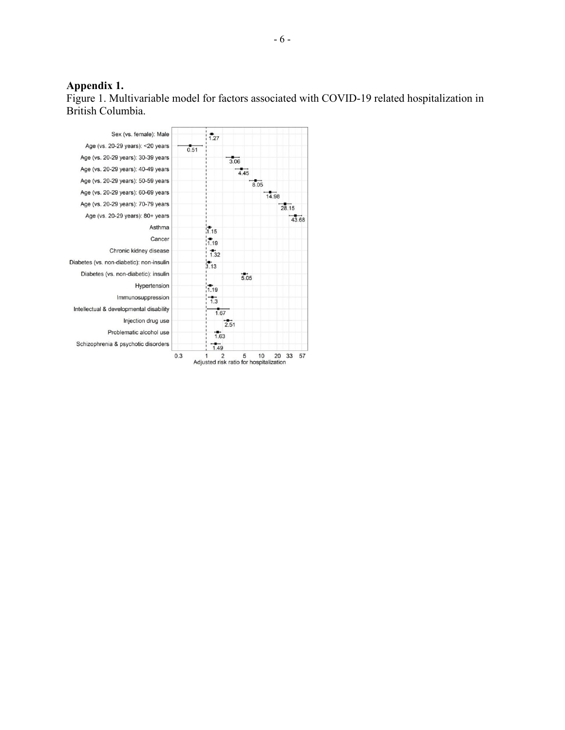#### **Appendix 1.**

Figure 1. Multivariable model for factors associated with COVID-19 related hospitalization in British Columbia.

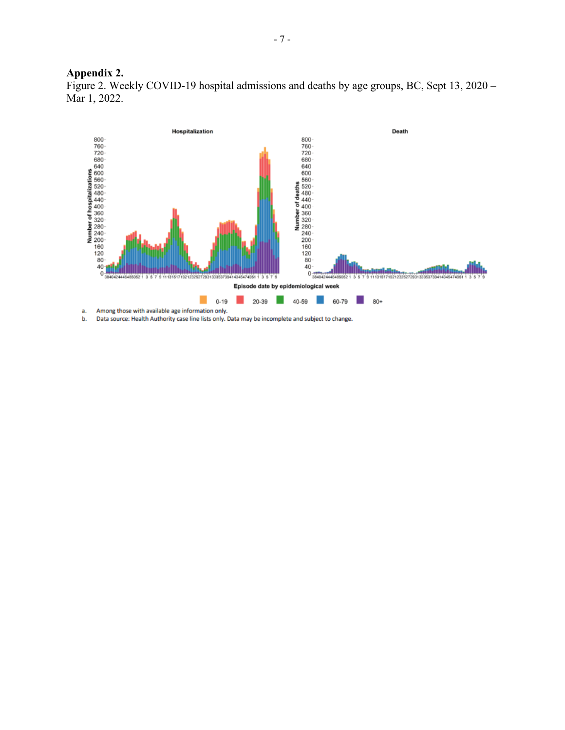#### **Appendix 2.**

Figure 2. Weekly COVID-19 hospital admissions and deaths by age groups, BC, Sept 13, 2020 – Mar 1, 2022.



b. Data source: Health Authority case line lists only. Data may be incomplete and subject to change.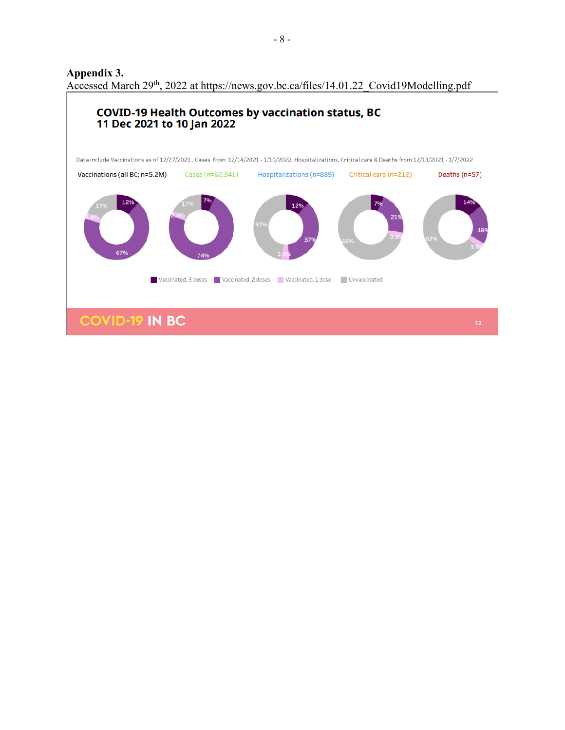**Appendix 3.** Accessed March 29<sup>th</sup>, 2022 at https://news.gov.bc.ca/files/14.01.22\_Covid19Modelling.pdf

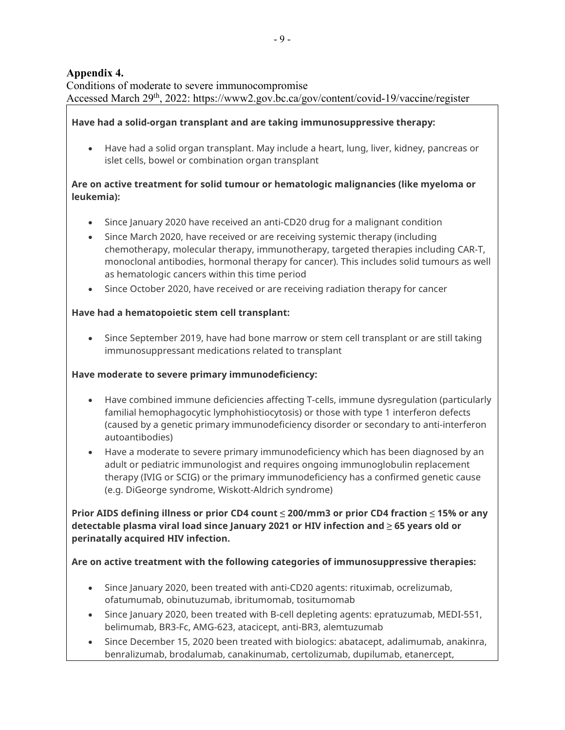# **Appendix 4.**

Conditions of moderate to severe immunocompromise Accessed March 29<sup>th</sup>, 2022: https://www2.gov.bc.ca/gov/content/covid-19/vaccine/register

## **Have had a solid-organ transplant and are taking immunosuppressive therapy:**

• Have had a solid organ transplant. May include a heart, lung, liver, kidney, pancreas or islet cells, bowel or combination organ transplant

## **Are on active treatment for solid tumour or hematologic malignancies (like myeloma or leukemia):**

- Since January 2020 have received an anti-CD20 drug for a malignant condition
- Since March 2020, have received or are receiving systemic therapy (including chemotherapy, molecular therapy, immunotherapy, targeted therapies including CAR-T, monoclonal antibodies, hormonal therapy for cancer). This includes solid tumours as well as hematologic cancers within this time period
- Since October 2020, have received or are receiving radiation therapy for cancer

#### **Have had a hematopoietic stem cell transplant:**

• Since September 2019, have had bone marrow or stem cell transplant or are still taking immunosuppressant medications related to transplant

#### **Have moderate to severe primary immunodeficiency:**

- Have combined immune deficiencies affecting T-cells, immune dysregulation (particularly familial hemophagocytic lymphohistiocytosis) or those with type 1 interferon defects (caused by a genetic primary immunodeficiency disorder or secondary to anti-interferon autoantibodies)
- Have a moderate to severe primary immunodeficiency which has been diagnosed by an adult or pediatric immunologist and requires ongoing immunoglobulin replacement therapy (IVIG or SCIG) or the primary immunodeficiency has a confirmed genetic cause (e.g. DiGeorge syndrome, Wiskott-Aldrich syndrome)

**Prior AIDS defining illness or prior CD4 count ≤ 200/mm3 or prior CD4 fraction ≤ 15% or any detectable plasma viral load since January 2021 or HIV infection and ≥ 65 years old or perinatally acquired HIV infection.**

**Are on active treatment with the following categories of immunosuppressive therapies:**

- Since January 2020, been treated with anti-CD20 agents: rituximab, ocrelizumab, ofatumumab, obinutuzumab, ibritumomab, tositumomab
- Since January 2020, been treated with B-cell depleting agents: epratuzumab, MEDI-551, belimumab, BR3-Fc, AMG-623, atacicept, anti-BR3, alemtuzumab
- Since December 15, 2020 been treated with biologics: abatacept, adalimumab, anakinra, benralizumab, brodalumab, canakinumab, certolizumab, dupilumab, etanercept,